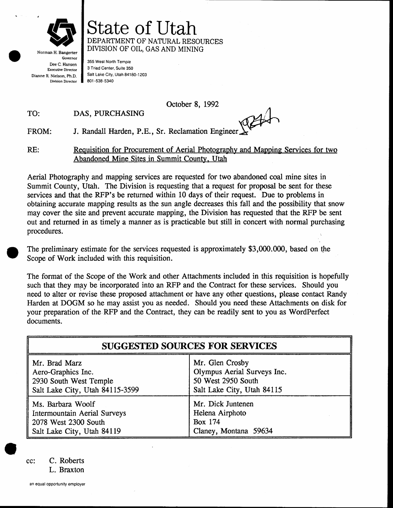

Governor Dee C. Hansen Executive Director Dianne R. Nielson, Ph.D. Division Director

355 West North Temple 3 Triad Center, Suite 350 Salt Lake City, Utah 84180-1203 801 -538-5340

October 8, L992

DAS, PURCHASING TO:

J. Randall Harden, P.E., Sr. Reclamation Engineer FROM:

State of lJtah

DTVISION OF OIL, GAS AND MINING

DEPARTMENT OF NATURAL RESOURCES

RE: Requisition for Procurement of Aerial Photography and Mapping Services for two Abandoned Mine Sites in Summit County. Utah

Aerial Photography and mapping services are requested for two abandoned coal mine sites in Summit County, Utah. The Division is requesting that a request for proposal be sent for these services and that the RFP's be returned within 10 days of their request. Due to problems in obtaining accurate mapping results as the sun angle decreases this fall and the possibility that snow may cover the site and prevent accurate mapping, the Division has requested that the RFP be sent out and returned in as timely a manner as is practicable but still in concert with normal purchasing procedures.

The preliminary estimate for the services requested is approximately \$3,000.000, based on the Scope of Work included with this requisition.

The format of the Scope of the Work and other Attachments included in this requisition is hopefully such that they may be incorporated into an RFP and the Contract for these services. Should you need to alter or revise these proposed attachment or have any other questions, please contact Randy Harden at DOGM so he may assist you as needed. Should you need these Attachments on disk for your preparation of the.RFP and the Contract, they can be rcadily sent to you as WordPerfect documents.

| <b>SUGGESTED SOURCES FOR SERVICES</b> |                             |  |
|---------------------------------------|-----------------------------|--|
| Mr. Brad Marz                         | Mr. Glen Crosby             |  |
| Aero-Graphics Inc.                    | Olympus Aerial Surveys Inc. |  |
| 2930 South West Temple                | 50 West 2950 South          |  |
| Salt Lake City, Utah 84115-3599       | Salt Lake City, Utah 84115  |  |
| Ms. Barbara Woolf                     | Mr. Dick Juntenen           |  |
| Intermountain Aerial Surveys          | Helena Airphoto             |  |
| 2078 West 2300 South                  | Box 174                     |  |
| Salt Lake City, Utah 84119            | Claney, Montana 59634       |  |

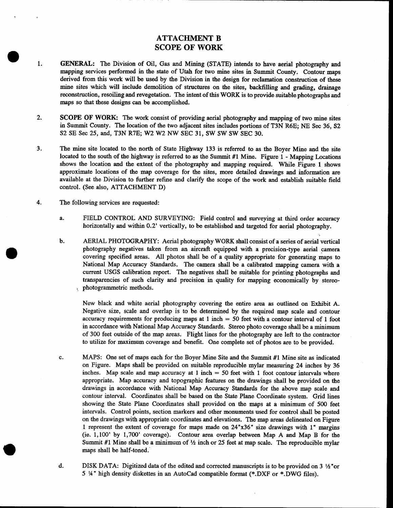## ATTACHMENT B SCOPE OF WORK

- 1. GENERAL: The Division of Oil, Gas and Mining (STATE) intends to have aerial photography and mapping services performed in the state of Utah for two mine sites in Summit County. Contour maps derived from this work will be used by the Division in the design for reclamation construction of these mine sites which will include demolition of structures on the sites, backfilling and grading, drainage reconstruction, resoiling and revegetation. The intent of this WORK is to provide suitable photographs and maps so that these designs can be accomplished.
- 2. SCOPE OF WORK: The work consist of providing aerial photography and mapping of two mine sites in Summit County. The location of the two adjacent sites includes portions of T3N R6E; NE Sec 36, S2 SZ SE Sec 25, and, T3N R?E; WZ W2 NW SEC 31, SW SW SW SEC 30.
- 3. The mine site located to the north of State Highway 133 is referred to as the Boyer Mine and the site located to the south of the highway is referred to as the Summit  $#1$  Mine. Figure 1 - Mapping Locations shows the location and the extent of the photography and mapping required. While Figure 1 shows approximate locations of the map coverage for the sites, more detailed drawings and information are available at the Division to further refine and clarify the scope of the work and establish suitable field control. (See also, ATTACHMENT D)
- The following services are requested: 4.
	- a. FIELD CONTROL AND SURVEYING: Field control and surveying at third order accuracy horizontally and within 0.2' vertically, to be established and targeted for aerial photography.
	- AERIAL PHOTOGRAPHY: Aerial photography WORK shall consist of a series of aerial vertical photography negatives taken from an aircraft equipped with a precision-type aerial camera covering specified areas. All photos shall be of a quality appropriate for generating maps to National Map Accuracy Standards, The camera shall be a calibrated mapping camera with a current USGS calibration report. The negatives shall be suitable for printing photographs and transparencies of such clarity and precision in quality for mapping economically by stereophotogrammetric methods. b.

New black and white aerial photography covering the entire area as outlined on Exhibit A. Negative size, scale and overlap is to be determined by the required map scale and contour accuracy requirements for producing maps at  $1$  inch  $=$  50 feet with a contour interval of  $1$  foot in accordance with National Map Accuracy Standards. Stereo photo coverage shall be a minimum of 300 feet outside of the map areas. Flight lines for the photography are left to the contractor to utilize for maximum coverage and benefit. One complete set of photos are to be provided.

- MAPS: One set of maps each for the Boyer Mine Site and the Summit #1 Mine site as indicated c. on Figure. Maps shall be provided on suitable reproducible mylar measuring 24 inches by 36 inches. Map scale and map accuracy at 1 inch  $= 50$  feet with 1 foot contour intervals where appropriate. Map accuracy and topographic features on the drawings shall be provided on the drawings in accordance with National Map Accuracy Standards for the above map scale and contour interval. Coordinates shall be based on the State Plane Coordinate system. Grid lines showing the State Plane Coordinates shall provided on the maps at a minimum of 500 feet intervals. Control points, section markers and other monuments used for control shall be posted on the drawings with appropriate coordinates and elevations. The map areas delineated on Figure 1 represent the extent of coverage for maps made on  $24"x36"$  size drawings with 1" margins (ie.  $1,100'$  by 1,700' coverage). Contour area overlap between Map A and Map B for the Summit #1 Mine shall be a minimum of  $\frac{1}{2}$  inch or 25 feet at map scale. The reproducible mylar maps shall be half-toned.
- DISK DATA: Digitized data of the edited and corrected manuscripts is to be provided on  $3\frac{1}{2}$ "or 5 Y4" high density diskettes in an AutoCad compatible format (\*.DXF or \*.DWG frles). d.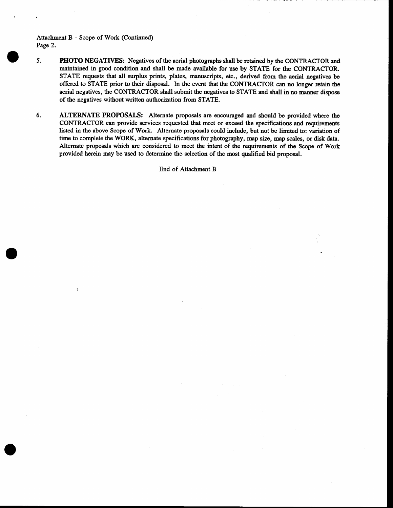Attachment B - Scope of Work (Continued) Page 2.

- 5. PHOTO NEGATIVES: Negatives of the aerial photographs shall be retained by the CONTRACTOR and maintained in good condition and shall be made available for use by STATE for the CONTRACTOR. STATE requests that all surplus prints, plates, manuscripts, etc., derived from the aerial negatives be offered to STATE prior to their disposal. In the event that the CONTRACTOR can no longer retain the aerial negatives, the CONTRACTOR shall submit the negatives to STATE and shall in no manner dispose of the negatives without written authorization from STATE.
- 6. ALTERNATE PROFOSALS: Alternate proposals are encouraged and should be provided where the CONTRACTOR can provide services requested that meet or exceed the specifications and requirements listed in the above Scope of Work. Alternate proposals could include, but not be limited to: variation of time to complete the WORK, alternate specifications for photography, mep size, map scales, or disk data. Alternate proposals which are considered to meet the intent of the requirements of the Scope of Work provided herein may be used to determine the selection of the most qualified bid proposal.

End of Attachment B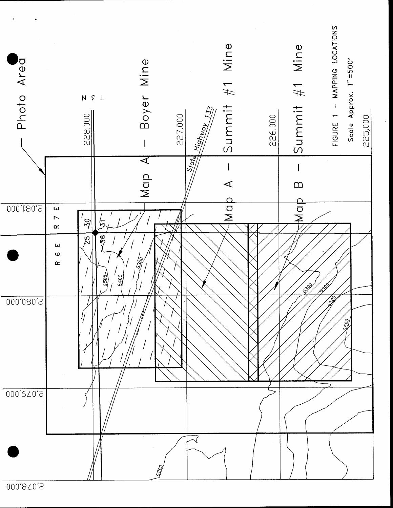

 $000,870,5$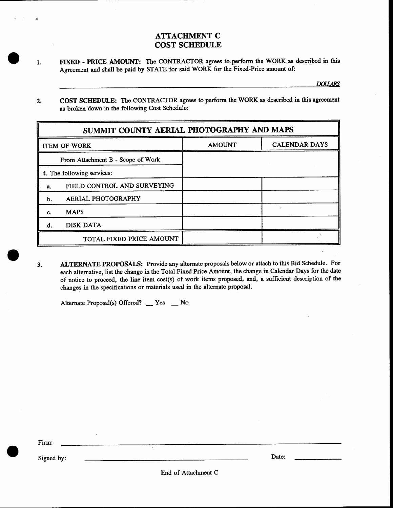## **ATTACHMENT C** COST SCHEDULE

1. FIXED - PRICE AMOUNT: The CONTRACTOR agrees to perform the WORK as described in this Agreement and shall be paid by STATE for said WORK for the Fixed-Price amount of:

**DOLLARS** 

2. COST SCHEDULE: The CONTRACTOR agrees to perform the WORK as described in this agreement as broken down in the following Cost Schedule:

| SUMMIT COUNTY AERIAL PHOTOGRAPHY AND MAPS |                                   |                                       |  |
|-------------------------------------------|-----------------------------------|---------------------------------------|--|
|                                           | <b>ITEM OF WORK</b>               | <b>CALENDAR DAYS</b><br><b>AMOUNT</b> |  |
|                                           | From Attachment B - Scope of Work |                                       |  |
|                                           | 4. The following services:        |                                       |  |
| а.                                        | FIELD CONTROL AND SURVEYING       |                                       |  |
| b.                                        | AERIAL PHOTOGRAPHY                |                                       |  |
| c.                                        | <b>MAPS</b>                       |                                       |  |
| d.                                        | <b>DISK DATA</b>                  |                                       |  |
|                                           | TOTAL FIXED PRICE AMOUNT          |                                       |  |

ALTERNATE PROPOSALS: Provide any alternate proposals below or attach to this Bid Schedule. For each alternative, list the change in the Total Fixed Price Amount, the change in Calendar Days for the date of notice to proceed, the line item cost(s) of work items proposed, and, a sufficient description of the changes in the specifications or materials used in the alternate proposal. 3.

Alternate Proposal(s) Offered? - Yes - No

Firm:

Signed by:

Date: